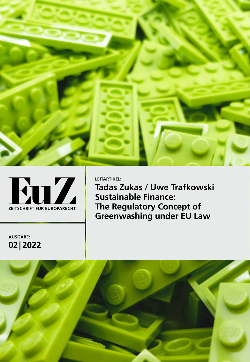



**LEITARTIKEL: Tadas Zukas / Uwe Trafkowski Sustainable Finance: The Regulatory Concept of Greenwashing under EU Law**

**AUSGABE: 02| 2022**

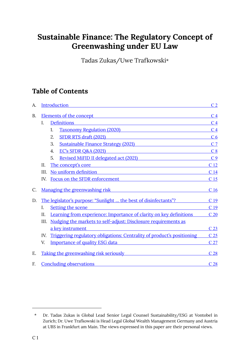# **Sustainable Finance: The Regulatory Concept of Greenwashing under EU Law**

Tadas Zukas/Uwe Trafkowski\*

# **Table of Contents**

| А.        | Introduction                         |                                                                                                                                                            |                 |
|-----------|--------------------------------------|------------------------------------------------------------------------------------------------------------------------------------------------------------|-----------------|
| <b>B.</b> |                                      | <u>Elements of the concept</u> Elements of the concept                                                                                                     | C <sub>4</sub>  |
|           | L.                                   | <b>Definitions</b><br>the control of the control of the control of the control of the control of                                                           | C <sub>4</sub>  |
|           |                                      | Taxonomy Regulation (2020)<br>1.                                                                                                                           | C <sub>4</sub>  |
|           |                                      | <b>SFDR RTS draft (2021)</b><br>2.<br><u> 1980 - Jan Samuel II, maritan a shekara tshirin 1980 - Shekara tshirin 1980 - Shekara tshirin 1980 - Shekara</u> | C <sub>6</sub>  |
|           |                                      | 3.<br>Sustainable Finance Strategy (2021)                                                                                                                  | C <sub>7</sub>  |
|           |                                      | EC's SFDR Q&A (2021) <b>EXECTS</b> SEE A 2021<br>4.                                                                                                        | C <sub>8</sub>  |
|           |                                      | 5.<br>Revised MiFID II delegated act (2021)                                                                                                                | C <sub>9</sub>  |
|           | Η.                                   | The concept's core<br><u> 1989 - Johann Stein, mars an deus Amerikaansk kommunister (</u>                                                                  | C <sub>12</sub> |
|           | III.                                 | No uniform definition <b>No uniform definition</b>                                                                                                         | C <sub>14</sub> |
|           | Focus on the SFDR enforcement<br>IV. |                                                                                                                                                            |                 |
| C.        |                                      | Managing the greenwashing risk Managing Community Community Community Community Community Community Community                                              | C <sub>16</sub> |
| D.        |                                      | The legislator's purpose: "Sunlight  the best of disinfectants"?                                                                                           | C <sub>19</sub> |
|           | I.                                   | Setting the scene                                                                                                                                          | C <sub>19</sub> |
|           | II.                                  | Learning from experience: Importance of clarity on key definitions                                                                                         | C <sub>20</sub> |
|           | III.                                 | Nudging the markets to self-adjust: Disclosure requirements as                                                                                             |                 |
|           |                                      | a key instrument                                                                                                                                           | C <sub>23</sub> |
|           | IV.                                  | Triggering regulatory obligations: Centrality of product's positioning                                                                                     | C <sub>25</sub> |
|           | V.                                   | <b>Importance of quality ESG data</b><br>the control of the control of the control of                                                                      | C <sub>27</sub> |
| Е.        |                                      | Taking the greenwashing risk seriously                                                                                                                     | C <sub>28</sub> |
| F.        |                                      | <b>Concluding observations</b>                                                                                                                             | C <sub>28</sub> |

<sup>\*</sup> Dr. Tadas Zukas is Global Lead Senior Legal Counsel Sustainability/ESG at Vontobel in Zurich; Dr. Uwe Trafkowski is Head Legal Global Wealth Management Germany and Austria at UBS in Frankfurt am Main. The views expressed in this paper are their personal views.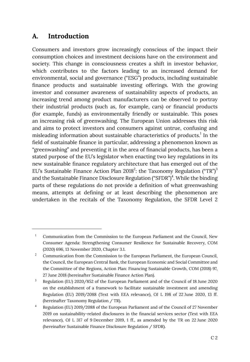# <span id="page-2-0"></span>**A. Introduction**

Consumers and investors grow increasingly conscious of the impact their consumption choices and investment decisions have on the environment and society. This change in consciousness creates a shift in investor behavior, which contributes to the factors leading to an increased demand for environmental, social and governance ("ESG") products, including sustainable finance products and sustainable investing offerings. With the growing investor and consumer awareness of sustainability aspects of products, an increasing trend among product manufacturers can be observed to portray their industrial products (such as, for example, cars) or financial products (for example, funds) as environmentally friendly or sustainable. This poses an increasing risk of greenwashing. The European Union addresses this risk and aims to protect investors and consumers against untrue, confusing and misleading information about sustainable characteristics of products.<sup>1</sup> In the field of sustainable finance in particular, addressing a phenomenon known as "greenwashing" and preventing it in the area of financial products, has been a stated purpose of the EU's legislator when enacting two key regulations in its new sustainable finance regulatory architecture that has emerged out of the EU's Sustainable Finance Action Plan 2018<sup>2</sup>: the Taxonomy Regulation ("TR")<sup>3</sup> and the Sustainable Finance Disclosure Regulation ("SFDR")<sup>4</sup>. While the binding parts of these regulations do not provide a definition of what greenwashing means, attempts at defining or at least describing the phenomenon are undertaken in the recitals of the Taxonomy Regulation, the SFDR Level 2

Communication from the Commission to the European Parliament and the Council, New Consumer Agenda: Strengthening Consumer Resilience for Sustainable Recovery, COM (2020) 696, 13 November 2020, Chapter 3.1. 1

Communication from the Commission to the European Parliament, the European Council, the Council, the European Central Bank, the European Economic and Social Committee and the Committee of the Regions, Action Plan: Financing Sustainable Growth, COM (2018) 97, 27 June 2018 (hereinafter Sustainable Finance Action Plan). 2

Regulation (EU) 2020/852 of the European Parliament and of the Council of 18 June 2020 on the establishment of a framework to facilitate sustainable investment and amending Regulation (EU) 2019/2088 (Text with EEA relevance), OJ L 198 of 22 June 2020, 13 ff. (hereinafter Taxonomy Regulation / TR). 3

Regulation (EU) 2019/2088 of the European Parliament and of the Council of 27 November 2019 on sustainability‐related disclosures in the financial services sector (Text with EEA relevance), OJ L 317 of 9 December 2019, 1 ff., as amended by the TR on 22 June 2020 (hereinafter Sustainable Finance Disclosure Regulation / SFDR). 4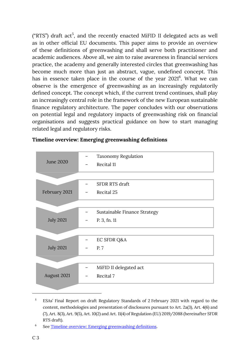("RTS") draft act<sup>5</sup>, and the recently enacted MiFID II delegated acts as well as in other official EU documents. This paper aims to provide an overview of these definitions of greenwashing and shall serve both practitioner and academic audiences. Above all, we aim to raise awareness in financial services practice, the academy and generally interested circles that greenwashing has become much more than just an abstract, vague, undefined concept. This has in essence taken place in the course of the year  $2021<sup>6</sup>$ . What we can observe is the emergence of greenwashing as an increasingly regulatorily defined concept. The concept which, if the current trend continues, shall play an increasingly central role in the framework of the new European sustainable finance regulatory architecture. The paper concludes with our observations on potential legal and regulatory impacts of greenwashing risk on financial organisations and suggests practical guidance on how to start managing related legal and regulatory risks.

| June 2020        | <b>Taxonomy Regulation</b><br>Recital 11 |
|------------------|------------------------------------------|
|                  |                                          |
|                  | <b>SFDR RTS draft</b>                    |
| February 2021    | Recital 25                               |
|                  |                                          |
|                  | Sustainable Finance Strategy             |
| <b>July 2021</b> | P. 3, fn. 11                             |
|                  |                                          |
|                  | EC SFDR Q&A                              |
| <b>July 2021</b> | P. 7                                     |
|                  |                                          |
|                  | MiFID II delegated act                   |
| August 2021      | Recital 7                                |
|                  |                                          |

## <span id="page-3-0"></span>**Timeline overview: Emerging greenwashing definitions**

ESAs' Final Report on draft Regulatory Standards of 2 February 2021 with regard to the content, methodologies and presentation of disclosures pursuant to Art. 2a(3), Art. 4(6) and (7), Art. 8(3), Art. 9(5), Art. 10(2) and Art. 11(4) of Regulation (EU) 2019/2088 (hereinafter SFDR RTS draft). 5

See [Timeline overview: Emerging greenwashing definitions](#page-3-0). 6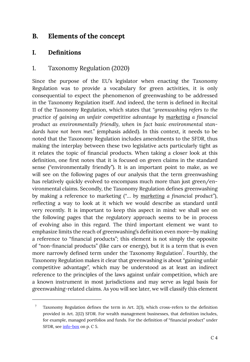# <span id="page-4-0"></span>**B. Elements of the concept**

## <span id="page-4-1"></span>**I. Definitions**

## <span id="page-4-2"></span>1. Taxonomy Regulation (2020)

Since the purpose of the EU's legislator when enacting the Taxonomy Regulation was to provide a vocabulary for green activities, it is only consequential to expect the phenomenon of greenwashing to be addressed in the Taxonomy Regulation itself. And indeed, the term is defined in Recital 11 of the Taxonomy Regulation, which states that *"greenwashing refers to the practice of gaining an unfair competitive advantage by marketing a financial product as environmentally friendly, when in fact basic environmental standards have not been met."* (emphasis added). In this context, it needs to be noted that the Taxonomy Regulation includes amendments to the SFDR, thus making the interplay between these two legislative acts particularly tight as it relates the topic of financial products. When taking a closer look at this definition, one first notes that it is focused on green claims in the standard sense ("environmentally friendly"). It is an important point to make, as we will see on the following pages of our analysis that the term greenwashing has relatively quickly evolved to encompass much more than just green/environmental claims. Secondly, the Taxonomy Regulation defines greenwashing by making a reference to marketing (*"… by marketing a financial product"*), reflecting a way to look at it which we would describe as standard until very recently. It is important to keep this aspect in mind: we shall see on the following pages that the regulatory approach seems to be in process of evolving also in this regard. The third important element we want to emphasize limits the reach of greenwashing's definition even more—by making a reference to "financial products"; this element is not simply the opposite of "non-financial products" (like cars or energy), but it is a term that is even more narrowly defined term under the Taxonomy Regulation<sup>7</sup>. Fourthly, the Taxonomy Regulation makes it clear that greenwashing is about "gaining unfair competitive advantage", which may be understood as at least an indirect reference to the principles of the laws against unfair competition, which are a known instrument in most jurisdictions and may serve as legal basis for greenwashing-related claims. As you will see later, we will classify this element

Taxonomy Regulation defines the term in Art. 2(3), which cross-refers to the definition provided in Art. 2(12) SFDR. For wealth management businesses, that definition includes, for example, managed portfolios and funds. For the definition of "financial product" under SFDR, see [info-box](#page-5-0) on p. C 5. 7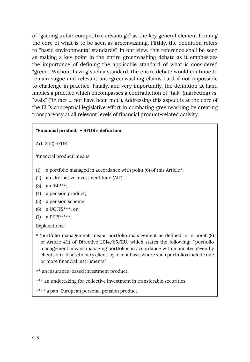of "gaining unfair competitive advantage" as the key general element forming the core of what is to be seen as greenwashing. Fifthly, the definition refers to "basic environmental standards". In our view, this reference shall be seen as making a key point in the entire greenwashing debate as it emphasizes the importance of defining the applicable standard of what is considered "green". Without having such a standard, the entire debate would continue to remain vague and relevant anti-greenwashing claims hard if not impossible to challenge in practice. Finally, and very importantly, the definition at hand implies a practice which encompasses a contradiction of "talk" (marketing) vs. "walk" ("in fact … not have been met"). Addressing this aspect is at the core of the EU's conceptual legislative effort in combating greenwashing by creating transparency at all relevant levels of financial product-related activity.

### <span id="page-5-0"></span>**"Financial product" – SFDR's definition**

Art. 2(12) SFDR

'financial product' means:

- (1) a portfolio managed in accordance with point (6) of this Article\*;
- (2) an alternative investment fund (AIF);
- (3) an IBIP\*\*;
- (4) a pension product;
- (5) a pension scheme;
- $(6)$  a UCITS\*\*\*; or
- (7) a PEPP\*\*\*\*;

### Explanations:

\* 'portfolio management' means portfolio management as defined in in point (8) of Article 4(1) of Directive 2014/65/EU, which states the following: "'portfolio management' means managing portfolios in accordance with mandates given by clients on a discretionary client-by-client basis where such portfolios include one or more financial instruments."

\*\* an insurance-based investment product.

\*\*\* an undertaking for collective investment in transferable securities.

\*\*\*\* a pan‐European personal pension product.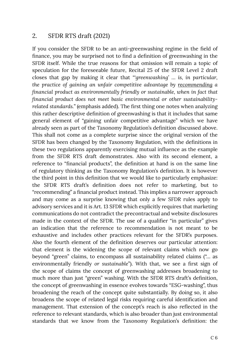## <span id="page-6-0"></span>2. SFDR RTS draft (2021)

If you consider the SFDR to be an anti-greenwashing regime in the field of finance, you may be surprised not to find a definition of greenwashing in the SFDR itself. While the true reasons for that omission will remain a topic of speculation for the foreseeable future, Recital 25 of the SFDR Level 2 draft closes that gap by making it clear that *"'greenwashing' … is, in particular, the practice of gaining an unfair competitive advantage by recommending a financial product as environmentally friendly or sustainable, when in fact that financial product does not meet basic environmental or other sustainabilityrelated standards.*" (emphasis added). The first thing one notes when analyzing this rather descriptive definition of greenwashing is that it includes that same general element of "gaining unfair competitive advantage" which we have already seen as part of the Taxonomy Regulation's definition discussed above. This shall not come as a complete surprise since the original version of the SFDR has been changed by the Taxonomy Regulation, with the definitions in these two regulations apparently exercising mutual influence as the example from the SFDR RTS draft demonstrates. Also with its second element, a reference to "financial products", the definition at hand is on the same line of regulatory thinking as the Taxonomy Regulation's definition. It is however the third point in this definition that we would like to particularly emphasize: the SFDR RTS draft's definition does not refer to marketing, but to "recommending" a financial product instead. This implies a narrower approach and may come as a surprise knowing that only a few SFDR rules apply to advisory services and it is Art. 13 SFDR which explicitly requires that marketing communications do not contradict the precontractual and website disclosures made in the context of the SFDR. The use of a qualifier "in particular" gives an indication that the reference to recommendation is not meant to be exhaustive and includes other practices relevant for the SFDR's purposes. Also the fourth element of the definition deserves our particular attention: that element is the widening the scope of relevant claims which now go beyond "green" claims, to encompass all sustainability related claims ("… as environmentally friendly *or sustainable*"). With that, we see a first sign of the scope of claims the concept of greenwashing addresses broadening to much more than just "green" washing. With the SFDR RTS draft's definition, the concept of greenwashing in essence evolves towards "ESG-washing", thus broadening the reach of the concept quite substantially. By doing so, it also broadens the scope of related legal risks requiring careful identification and management. That extension of the concept's reach is also reflected in the reference to relevant standards, which is also broader than just environmental standards that we know from the Taxonomy Regulation's definition: the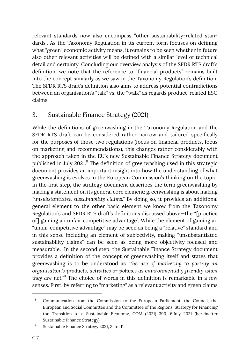relevant standards now also encompass "other sustainability-related standards". As the Taxonomy Regulation in its current form focuses on defining what "green" economic activity means, it remains to be seen whether in future also other relevant activities will be defined with a similar level of technical detail and certainty. Concluding our overview analysis of the SFDR RTS draft's definition, we note that the reference to "financial products" remains built into the concept similarly as we saw in the Taxonomy Regulation's definition. The SFDR RTS draft's definition also aims to address potential contradictions between an organisation's "talk" vs. the "walk" as regards product-related ESG claims.

# <span id="page-7-0"></span>3. Sustainable Finance Strategy (2021)

While the definitions of greenwashing in the Taxonomy Regulation and the SFDR RTS draft can be considered rather narrow and tailored specifically for the purposes of those two regulations (focus on financial products, focus on marketing and recommendations), this changes rather considerably with the approach taken in the EU's new Sustainable Finance Strategy document published in July 2021.<sup>8</sup> The definition of greenwashing used in this strategic document provides an important insight into how the understanding of what greenwashing is evolves in the European Commission's thinking on the topic. In the first step, the strategy document describes the term greenwashing by making a statement on its general core element: greenwashing is about making *"unsubstantiated sustainability claims."* By doing so, it provides an additional general element to the other basic element we know from the Taxonomy Regulation's and SFDR RTS draft's definitions discussed above—the "[practice of] gaining an unfair competitive advantage". While the element of gaining an "unfair competitive advantage" may be seen as being a "relative" standard and in this sense including an element of subjectivity, making "unsubstantiated sustainability claims" can be seen as being more objectivity-focused and measurable. In the second step, the Sustainable Finance Strategy document provides a definition of the concept of greenwashing itself and states that greenwashing is to be understood as *"the use of marketing to portray an organisation's products, activities or policies as environmentally friendly when they are not."* 9 The choice of words in this definition is remarkable in a few senses. First, by referring to "marketing" as a relevant activity and green claims

Communication from the Commission to the European Parliament, the Council, the European and Social Committee and the Committee of the Regions, Strategy for Financing the Transition to a Sustainable Economy, COM (2021) 390, 6 July 2021 (hereinafter Sustainable Finance Strategy). 8

Sustainable Finance Strategy 2021, 3, fn. 11. 9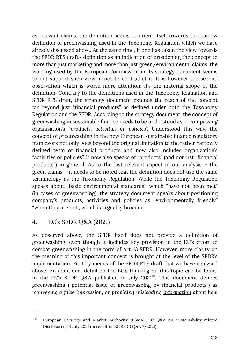as relevant claims, the definition seems to orient itself towards the narrow definition of greenwashing used in the Taxonomy Regulation which we have already discussed above. At the same time, if one has taken the view towards the SFDR RTS draft's definition as an indication of broadening the concept to more than just marketing and more than just green/environmental claims, the wording used by the European Commission in its strategy document seems to not support such view, if not to contradict it. It is however the second observation which is worth more attention: it's the material scope of the definition. Contrary to the definitions used in the Taxonomy Regulation and SFDR RTS draft, the strategy document extends the reach of the concept far beyond just "financial products" as defined under both the Taxonomy Regulation and the SFDR. According to the strategy document, the concept of greenwashing in sustainable finance needs to be understood as encompassing organisation's "*products, activities or policies".* Understood this way, the concept of greenwashing in the new European sustainable finance regulatory framework not only goes beyond the original limitation to the rather narrowly defined term of financial products and now also includes organization's "activities or policies". It now also speaks of "products" (and not just "financial products") in general. As to the last relevant aspect in our analysis – the green claims – it needs to be noted that the definition does not use the same terminology as the Taxonomy Regulation. While the Taxonomy Regulation speaks about "basic environmental standards", which "have not been met" (in cases of greenwashing), the strategy document speaks about positioning company's products, activities and policies as "environmentally friendly" "when they are not", which is arguably broader.

# <span id="page-8-0"></span>4. EC's SFDR Q&A (2021)

As observed above, the SFDR itself does not provide a definition of greenwashing, even though it includes key provision in the EU's effort to combat greenwashing in the form of Art. 13 SFDR. However, more clarity on the meaning of this important concept is brought at the level of the SFDR's implementation. First by means of the SFDR RTS draft that we have analyzed above. An additional detail on the EC's thinking on this topic can be found in the EC's SFDR Q&A published in July  $2021^{10}$ . This document defines greenwashing ("potential issue of greenwashing by financial products") as *"conveying a false impression, or providing misleading information about how* 

European Security and Market Authority (ESMA), EC Q&A on Sustainability-related Disclosures, 14 July 2021 (hereinafter EC SFDR Q&A 7/2021). 10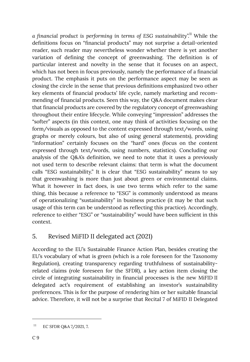*a financial product is performing in terms of ESG sustainability".* <sup>11</sup> While the definitions focus on "financial products" may not surprise a detail-oriented reader, such reader may nevertheless wonder whether there is yet another variation of defining the concept of greenwashing. The definition is of particular interest and novelty in the sense that it focuses on an aspect, which has not been in focus previously, namely the performance of a financial product. The emphasis it puts on the performance aspect may be seen as closing the circle in the sense that previous definitions emphasized two other key elements of financial products' life cycle, namely marketing and recommending of financial products. Seen this way, the Q&A document makes clear that financial products are covered by the regulatory concept of greenwashing throughout their entire lifecycle. While conveying "impression" addresses the "softer" aspects (in this context, one may think of activities focusing on the form/visuals as opposed to the content expressed through text/words, using graphs or merely colours, but also of using general statements), providing "information" certainly focuses on the "hard" ones (focus on the content expressed through text/words, using numbers, statistics). Concluding our analysis of the Q&A's definition, we need to note that it uses a previously not used term to describe relevant claims: that term is what the document calls "ESG sustainability." It is clear that "ESG sustainability" means to say that greenwashing is more than just about green or environmental claims. What it however in fact does, is use two terms which refer to the same thing, this because a reference to "ESG" is commonly understood as means of operationalizing "sustainability" in business practice (it may be that such usage of this term can be understood as reflecting this practice). Accordingly, reference to either "ESG" or "sustainability" would have been sufficient in this context.

# <span id="page-9-0"></span>5. Revised MiFID II delegated act (2021)

According to the EU's Sustainable Finance Action Plan, besides creating the EU's vocabulary of what is green (which is a role foreseen for the Taxonomy Regulation), creating transparency regarding truthfulness of sustainabilityrelated claims (role foreseen for the SFDR), a key action item closing the circle of integrating sustainability in financial processes is the new MiFID II delegated act's requirement of establishing an investor's sustainability preferences. This is for the purpose of rendering him or her suitable financial advice. Therefore, it will not be a surprise that Recital 7 of MiFID II Delegated

<sup>&</sup>lt;sup>11</sup> EC SFDR Q&A 7/2021, 7.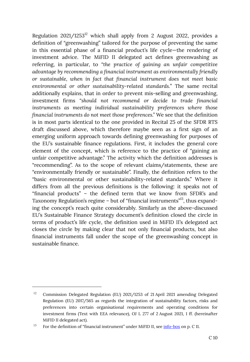Regulation  $2021/1253^{12}$  which shall apply from 2 August 2022, provides a definition of "greenwashing" tailored for the purpose of preventing the same in this essential phase of a financial product's life cycle—the rendering of investment advice. The MiFID II delegated act defines greenwashing as referring, in particular, to *"the practice of gaining an unfair competitive advantage by recommending a financial instrument as environmentally friendly or sustainable, when in fact that financial instrument does not meet basic environmental or other sustainability-related standards.*" The same recital additionally explains, that in order to prevent mis-selling and greenwashing, investment firms *"should not recommend or decide to trade financial instruments as meeting individual sustainability preferences where those financial instruments do not meet those preferences."* We see that the definition is in most parts identical to the one provided in Recital 25 of the SFDR RTS draft discussed above, which therefore maybe seen as a first sign of an emerging uniform approach towards defining greenwashing for purposes of the EU's sustainable finance regulations. First, it includes the general core element of the concept, which is reference to the practice of "gaining an unfair competitive advantage." The activity which the definition addresses is "recommending". As to the scope of relevant claims/statements, these are "environmentally friendly or sustainable". Finally, the definition refers to the "basic environmental or other sustainability-related standards." Where it differs from all the previous definitions is the following: it speaks not of "financial products" – the defined term that we know from SFDR's and Taxonomy Regulation's regime – but of "financial instruments"<sup>13</sup>, thus expanding the concept's reach quite considerably. Similarly as the above-discussed EU's Sustainable Finance Strategy document's definition closed the circle in terms of product's life cycle, the definition used in MiFID II's delegated act closes the circle by making clear that not only financial products, but also financial instruments fall under the scope of the greenwashing concept in sustainable finance.

Commission Delegated Regulation (EU) 2021/1253 of 21 April 2021 amending Delegated Regulation (EU) 2017/565 as regards the integration of sustainability factors, risks and preferences into certain organisational requirements and operating conditions for investment firms (Text with EEA relevance), OJ L 277 of 2 August 2021, 1 ff. (hereinafter MiFID II delegated act). 12

For the definition of "financial instrument" under MiFID II, see [info-box](#page-11-0) on p. C 11. 13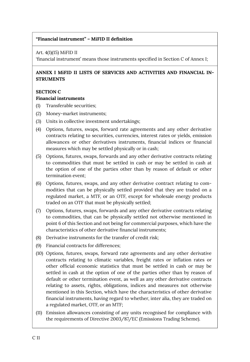## <span id="page-11-0"></span>**"Financial instrument" – MiFID II definition**

Art. 4(1)(15) MiFID II

'financial instrument' means those instruments specified in Section C of Annex I;

## **ANNEX I MiFID II LISTS OF SERVICES AND ACTIVITIES AND FINANCIAL IN-STRUMENTS**

### **SECTION C**

### **Financial instruments**

- (1) Transferable securities;
- (2) Money-market instruments;
- (3) Units in collective investment undertakings;
- (4) Options, futures, swaps, forward rate agreements and any other derivative contracts relating to securities, currencies, interest rates or yields, emission allowances or other derivatives instruments, financial indices or financial measures which may be settled physically or in cash;
- (5) Options, futures, swaps, forwards and any other derivative contracts relating to commodities that must be settled in cash or may be settled in cash at the option of one of the parties other than by reason of default or other termination event;
- (6) Options, futures, swaps, and any other derivative contract relating to commodities that can be physically settled provided that they are traded on a regulated market, a MTF, or an OTF, except for wholesale energy products traded on an OTF that must be physically settled;
- (7) Options, futures, swaps, forwards and any other derivative contracts relating to commodities, that can be physically settled not otherwise mentioned in point 6 of this Section and not being for commercial purposes, which have the characteristics of other derivative financial instruments;
- (8) Derivative instruments for the transfer of credit risk;
- (9) Financial contracts for differences;
- (10) Options, futures, swaps, forward rate agreements and any other derivative contracts relating to climatic variables, freight rates or inflation rates or other official economic statistics that must be settled in cash or may be settled in cash at the option of one of the parties other than by reason of default or other termination event, as well as any other derivative contracts relating to assets, rights, obligations, indices and measures not otherwise mentioned in this Section, which have the characteristics of other derivative financial instruments, having regard to whether, inter alia, they are traded on a regulated market, OTF, or an MTF;
- (11) Emission allowances consisting of any units recognised for compliance with the requirements of Directive 2003/87/EC (Emissions Trading Scheme).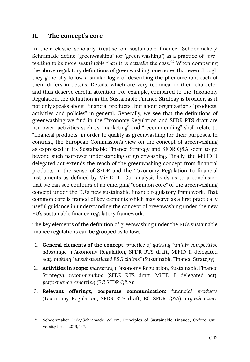# <span id="page-12-0"></span>**II. The concept's core**

In their classic scholarly treatise on sustainable finance, Schoenmaker/ Schramade define "greenwashing" (or "green washing") as a practice of *"pretending to be more sustainable than it is actually the case."* <sup>14</sup> When comparing the above regulatory definitions of greenwashing, one notes that even though they generally follow a similar logic of describing the phenomenon, each of them differs in details. Details, which are very technical in their character and thus deserve careful attention. For example, compared to the Taxonomy Regulation, the definition in the Sustainable Finance Strategy is broader, as it not only speaks about "financial products", but about organization's "products, activities and policies" in general. Generally, we see that the definitions of greenwashing we find in the Taxonomy Regulation and SFDR RTS draft are narrower: activities such as "marketing" and "recommending" shall relate to "financial products" in order to qualify as greenwashing for their purposes. In contrast, the European Commission's view on the concept of greenwashing as expressed in its Sustainable Finance Strategy and SFDR Q&A seem to go beyond such narrower understanding of greenwashing. Finally, the MiFID II delegated act extends the reach of the greenwashing concept from financial products in the sense of SFDR and the Taxonomy Regulation to financial instruments as defined by MiFID II. Our analysis leads us to a conclusion that we can see contours of an emerging "common core" of the greenwashing concept under the EU's new sustainable finance regulatory framework. That common core is framed of key elements which may serve as a first practically useful guidance in understanding the concept of greenwashing under the new EU's sustainable finance regulatory framework.

The key elements of the definition of greenwashing under the EU's sustainable finance regulations can be grouped as follows:

- 1. **General elements of the concept:** *practice of gaining "unfair competitive advantage"* (Taxonomy Regulation, SFDR RTS draft, MiFID II delegated act), *making "unsubstantiated ESG claims"* (Sustainable Finance Strategy);
- 2. **Activities in scope:** *marketing* (Taxonomy Regulation, Sustainable Finance Strategy), *recommending* (SFDR RTS draft, MiFID II delegated act), *performance reporting* (EC SFDR Q&A);
- 3. **Relevant offerings, corporate communication:** *financial products*  (Taxonomy Regulation, SFDR RTS draft, EC SFDR Q&A); *organisation's*

Schoenmaker Dirk/Schramade Willem, Principles of Sustainable Finance, Oxford University Press 2019, 147. 14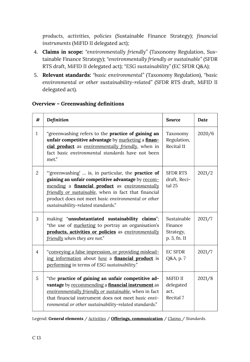*products, activities, policies* (Sustainable Finance Strategy); *financial instruments* (MiFID II delegated act);

- 4. **Claims in scope:** *"environmentally friendly"* (Taxonomy Regulation, Sustainable Finance Strategy); *"environmentally friendly or sustainable"* (SFDR RTS draft, MiFID II delegated act); *"ESG sustainability"* (EC SFDR Q&A);
- 5. **Relevant standards:** *"basic environmental"* (Taxonomy Regulation), *"basic environmental or other sustainability-related"* (SFDR RTS draft, MiFID II delegated act).

<span id="page-13-0"></span>

| #              | Definition                                                                                                                                                                                                                                                                                                                         | <b>Source</b>                                       | <b>Date</b> |
|----------------|------------------------------------------------------------------------------------------------------------------------------------------------------------------------------------------------------------------------------------------------------------------------------------------------------------------------------------|-----------------------------------------------------|-------------|
| $\mathbf{1}$   | "greenwashing refers to the <b>practice of gaining an</b><br>unfair competitive advantage by marketing a finan-<br>cial product as environmentally friendly, when in<br>fact basic environmental standards have not been<br>met."                                                                                                  | Taxonomy<br>Regulation,<br>Recital 11               | 2020/6      |
| $\overline{2}$ | "greenwashing'  is, in particular, the <b>practice of</b><br>gaining an unfair competitive advantage by recom-<br>mending a <b>financial product</b> as <i>environmentally</i><br>friendly or sustainable, when in fact that financial<br>product does not meet basic environmental or other<br>sustainability-related standards." | <b>SFDR RTS</b><br>draft, Reci-<br>tal 25           | 2021/2      |
| 3              | making "unsubstantiated sustainability claims";<br>"the use of marketing to portray an organisation's<br>products, activities or policies as environmentally<br>friendly when they are not."                                                                                                                                       | Sustainable<br>Finance<br>Strategy,<br>p. 3, fn. 11 | 2021/7      |
| $\overline{4}$ | "conveying a false impression, or providing mislead-<br>ing information about how a financial product is<br>performing in terms of ESG sustainability."                                                                                                                                                                            | <b>EC SFDR</b><br>Q&A, p. 7                         | 2021/7      |
| 5              | "the practice of gaining an unfair competitive ad-<br>vantage by recommending a financial instrument as<br>environmentally friendly or sustainable, when in fact<br>that financial instrument does not meet basic envi-<br>ronmental or other sustainability-related standards."                                                   | MiFID II<br>delegated<br>act,<br>Recital 7          | 2021/8      |

## **Overview – Greenwashing definitions**

Legend: **General elements** / *Activities* / **Offerings, communication** / *Claims* / *Standards*.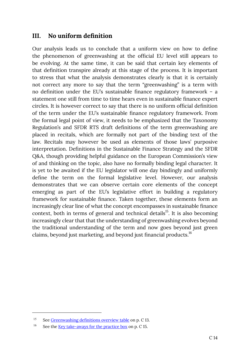## <span id="page-14-0"></span>**III. No uniform definition**

Our analysis leads us to conclude that a uniform view on how to define the phenomenon of greenwashing at the official EU level still appears to be evolving. At the same time, it can be said that certain key elements of that definition transpire already at this stage of the process. It is important to stress that what the analysis demonstrates clearly is that it is certainly not correct any more to say that the term "greenwashing" is a term with no definition under the EU's sustainable finance regulatory framework – a statement one still from time to time hears even in sustainable finance expert circles. It is however correct to say that there is no uniform official definition of the term under the EU's sustainable finance regulatory framework. From the formal legal point of view, it needs to be emphasized that the Taxonomy Regulation's and SFDR RTS draft definitions of the term greenwashing are placed in recitals, which are formally not part of the binding text of the law. Recitals may however be used as elements of those laws' purposive interpretation. Definitions in the Sustainable Finance Strategy and the SFDR Q&A, though providing helpful guidance on the European Commission's view of and thinking on the topic, also have no formally binding legal character. It is yet to be awaited if the EU legislator will one day bindingly and uniformly define the term on the formal legislative level. However, our analysis demonstrates that we can observe certain core elements of the concept emerging as part of the EU's legislative effort in building a regulatory framework for sustainable finance. Taken together, these elements form an increasingly clear line of what the concept encompasses in sustainable finance context, both in terms of general and technical details<sup>15</sup>. It is also becoming increasingly clear that that the understanding of greenwashing evolves beyond the traditional understanding of the term and now goes beyond just green claims, beyond just marketing, and beyond just financial products.<sup>16</sup>

See [Greenwashing definitions overview table](#page-13-0) on p. C 13. 15

See the [Key take-aways for the practice box](#page-15-1) on p. C 15. 16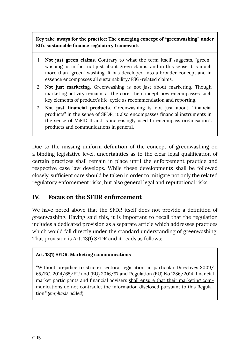## <span id="page-15-1"></span>**Key take-aways for the practice: The emerging concept of "greenwashing" under EU's sustainable finance regulatory framework**

- 1. **Not just green claims**. Contrary to what the term itself suggests, "greenwashing" is in fact not just about green claims, and in this sense it is much more than "green" washing. It has developed into a broader concept and in essence encompasses all sustainability/ESG-related claims.
- 2. **Not just marketing**. Greenwashing is not just about marketing. Though marketing activity remains at the core, the concept now encompasses such key elements of product's life-cycle as recommendation and reporting.
- 3. **Not just financial products**. Greenwashing is not just about "financial products" in the sense of SFDR, it also encompasses financial instruments in the sense of MiFID II and is increasingly used to encompass organisation's products and communications in general.

Due to the missing uniform definition of the concept of greenwashing on a binding legislative level, uncertainties as to the clear legal qualification of certain practices shall remain in place until the enforcement practice and respective case law develops. While these developments shall be followed closely, sufficient care should be taken in order to mitigate not only the related regulatory enforcement risks, but also general legal and reputational risks.

## <span id="page-15-0"></span>**IV. Focus on the SFDR enforcement**

We have noted above that the SFDR itself does not provide a definition of greenwashing. Having said this, it is important to recall that the regulation includes a dedicated provision as a separate article which addresses practices which would fall directly under the standard understanding of greenwashing. That provision is Art. 13(1) SFDR and it reads as follows:

## **Art. 13(1) SFDR: Marketing communications**

"Without prejudice to stricter sectoral legislation, in particular Directives 2009/ 65/EC, 2014/65/EU and (EU) 2016/97 and Regulation (EU) No 1286/2014, financial market participants and financial advisers shall ensure that their marketing communications do not contradict the information disclosed pursuant to this Regulation." *(emphasis added)*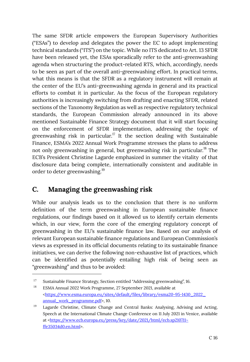The same SFDR article empowers the European Supervisory Authorities ("ESAs") to develop and delegates the power the EC to adopt implementing technical standards ("ITS") on the topic. While no ITS dedicated to Art. 13 SFDR have been released yet, the ESAs sporadically refer to the anti-greenwashing agenda when structuring the product-related RTS, which, accordingly, needs to be seen as part of the overall anti-greenwashing effort. In practical terms, what this means is that the SFDR as a regulatory instrument will remain at the center of the EU's anti-greenwashing agenda in general and its practical efforts to combat it in particular. As the focus of the European regulatory authorities is increasingly switching from drafting and enacting SFDR, related sections of the Taxonomy Regulation as well as respective regulatory technical standards, the European Commission already announced in its above mentioned Sustainable Finance Strategy document that it will start focusing on the enforcement of SFDR implementation, addressing the topic of greenwashing risk in particular.<sup>17</sup> It the section dealing with Sustainable Finance, ESMA's 2022 Annual Work Programme stresses the plans to address not only greenwashing in general, but greenwashing risk in particular. <sup>18</sup> The ECB's President Christine Lagarde emphasized in summer the vitality of that disclosure data being complete, internationally consistent and auditable in order to deter greenwashing.<sup>19</sup>

# <span id="page-16-0"></span>**C. Managing the greenwashing risk**

While our analysis leads us to the conclusion that there is no uniform definition of the term greenwashing in European sustainable finance regulations, our findings based on it allowed us to identify certain elements which, in our view, form the core of the emerging regulatory concept of greenwashing in the EU's sustainable finance law. Based on our analysis of relevant European sustainable finance regulations and European Commission's views as expressed in its official documents relating to its sustainable finance initiatives, we can derive the following non-exhaustive list of practices, which can be identified as potentially entailing high risk of being seen as "greenwashing" and thus to be avoided:

Sustainable Finance Strategy, Section entitled "Addressing greenwashing", 16. 17

ESMA Annual 2022 Work Programme, 27 September 2021, available at <https://www.esma.europa.eu/sites/default/files/library/esma20-95-1430\_2022\_ [annual\\_work\\_programme.pdf](https://www.esma.europa.eu/sites/default/files/library/esma20-95-1430_2022_annual_work_programme.pdf)>, 10. 18

Lagarde Christine, Climate Change and Central Banks: Analysing, Advising and Acting, Speech at the International Climate Change Conference on 11 July 2021 in Venice, available at <[https://www.ecb.europa.eu/press/key/date/2021/html/ecb.sp210711~](https://www.ecb.europa.eu/press/key/date/2021/html/ecb.sp210711~ffe35034d0.en.html) [ffe35034d0.en.html](https://www.ecb.europa.eu/press/key/date/2021/html/ecb.sp210711~ffe35034d0.en.html)>. 19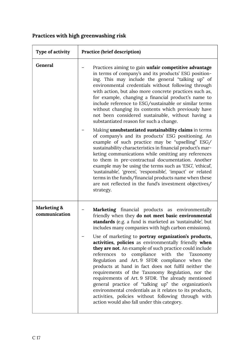# **Practices with high greenwashing risk**

| Type of activity             | Practice (brief description)                                                                                                                                                                                                                                                                                                                                                                                                                                                                                                                                                                                                                                                                                                                                                                                                                                                                                                                                                                                                                                                                                                                                       |
|------------------------------|--------------------------------------------------------------------------------------------------------------------------------------------------------------------------------------------------------------------------------------------------------------------------------------------------------------------------------------------------------------------------------------------------------------------------------------------------------------------------------------------------------------------------------------------------------------------------------------------------------------------------------------------------------------------------------------------------------------------------------------------------------------------------------------------------------------------------------------------------------------------------------------------------------------------------------------------------------------------------------------------------------------------------------------------------------------------------------------------------------------------------------------------------------------------|
| General                      | Practices aiming to gain unfair competitive advantage<br>in terms of company's and its products' ESG position-<br>ing. This may include the general "talking up" of<br>environmental credentials without following through<br>with action, but also more concrete practices such as,<br>for example, changing a financial product's name to<br>include reference to ESG/sustainable or similar terms<br>without changing its contents which previously have<br>not been considered sustainable, without having a<br>substantiated reason for such a change.<br>Making unsubstantiated sustainability claims in terms<br>of company's and its products' ESG positioning. An<br>example of such practice may be "upselling" ESG/<br>sustainability characteristics in financial product's mar-<br>keting communications while omitting any references<br>to them in pre-contractual documentation. Another<br>example may be using the terms such as 'ESG', 'ethical',<br>'sustainable', 'green', 'responsible', 'impact' or related<br>terms in the funds/financial products name when these<br>are not reflected in the fund's investment objectives/<br>strategy. |
| Marketing &<br>communication | Marketing financial products as environmentally<br>friendly when they do not meet basic environmental<br>standards (e.g. a fund is marketed as 'sustainable', but<br>includes many companies with high carbon emissions).<br>Use of marketing to portray organization's products,<br>activities, policies as environmentally friendly when<br>they are not. An example of such practice could include<br>references to compliance with the Taxonomy<br>Regulation and Art. 9 SFDR compliance when the<br>products at hand in fact does not fulfil neither the<br>requirements of the Taxonomy Regulation, nor the<br>requirements of Art. 9 SFDR. The already mentioned<br>general practice of "talking up" the organization's<br>environmental credentials as it relates to its products,<br>activities, policies without following through with<br>action would also fall under this category.                                                                                                                                                                                                                                                                   |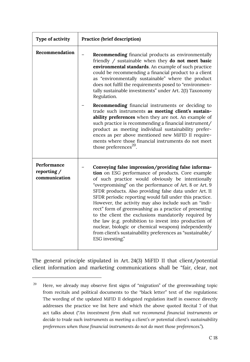| Type of activity                            | <b>Practice (brief description)</b>                                                                                                                                                                                                                                                                                                                                                                                                                                                                                                                                                                                                                                                                                       |
|---------------------------------------------|---------------------------------------------------------------------------------------------------------------------------------------------------------------------------------------------------------------------------------------------------------------------------------------------------------------------------------------------------------------------------------------------------------------------------------------------------------------------------------------------------------------------------------------------------------------------------------------------------------------------------------------------------------------------------------------------------------------------------|
| Recommendation                              | <b>Recommending</b> financial products as environmentally<br>friendly / sustainable when they do not meet basic<br>environmental standards. An example of such practice<br>could be recommending a financial product to a client<br>as "environmentally sustainable" where the product<br>does not fulfil the requirements posed to "environmen-<br>tally sustainable investments" under Art. 2(1) Taxonomy<br>Regulation.                                                                                                                                                                                                                                                                                                |
|                                             | <b>Recommending</b> financial instruments or deciding to<br>trade such instruments as meeting client's sustain-<br>ability preferences when they are not. An example of<br>such practice is recommending a financial instrument/<br>product as meeting individual sustainability prefer-<br>ences as per above mentioned new MiFID II require-<br>ments where those financial instruments do not meet<br>those preferences <sup>20</sup> .                                                                                                                                                                                                                                                                                |
| Performance<br>reporting /<br>communication | Conveying false impression/providing false informa-<br>tion on ESG performance of products. Core example<br>of such practice would obviously be intentionally<br>"overpromising" on the performance of Art. 8 or Art. 9<br>SFDR products. Also providing false data under Art. 11<br>SFDR periodic reporting would fall under this practice.<br>However, the activity may also include such an "indi-<br>rect" form of greenwashing as a practice of presenting<br>to the client the exclusions mandatorily required by<br>the law (e.g. prohibition to invest into production of<br>nuclear, biologic or chemical weapons) independently<br>from client's sustainability preferences as "sustainable/<br>ESG investing." |

The general principle stipulated in Art. 24(3) MiFID II that client/potential client information and marketing communications shall be "fair, clear, not

Here, we already may observe first signs of "migration" of the greenwashing topic from recitals and political documents to the "black letter" text of the regulations: The wording of the updated MiFID II delegated regulation itself in essence directly addresses the practice we list here and which the above quoted Recital 7 of that act talks about ("*An investment firm shall not recommend financial instruments or decide to trade such instruments as meeting a client's or potential client's sustainability preferences when those financial instruments do not do meet those preferences*."). 20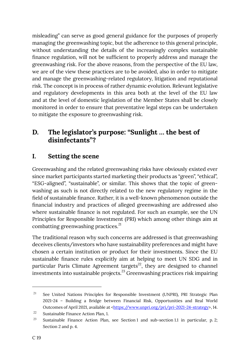misleading" can serve as good general guidance for the purposes of properly managing the greenwashing topic, but the adherence to this general principle, without understanding the details of the increasingly complex sustainable finance regulation, will not be sufficient to properly address and manage the greenwashing risk. For the above reasons, from the perspective of the EU law, we are of the view these practices are to be avoided, also in order to mitigate and manage the greenwashing-related regulatory, litigation and reputational risk. The concept is in process of rather dynamic evolution. Relevant legislative and regulatory developments in this area both at the level of the EU law and at the level of domestic legislation of the Member States shall be closely monitored in order to ensure that preventative legal steps can be undertaken to mitigate the exposure to greenwashing risk.

# <span id="page-19-0"></span>**D. The legislator's purpose: "Sunlight … the best of disinfectants"?**

# <span id="page-19-1"></span>**I. Setting the scene**

Greenwashing and the related greenwashing risks have obviously existed ever since market participants started marketing their products as "green", "ethical", "ESG-aligned", "sustainable", or similar. This shows that the topic of greenwashing as such is not directly related to the new regulatory regime in the field of sustainable finance. Rather, it is a well-known phenomenon outside the financial industry and practices of alleged greenwashing are addressed also where sustainable finance is not regulated. For such an example, see the UN Principles for Responsible Investment (PRI) which among other things aim at combatting greenwashing practices.<sup>21</sup>

The traditional reason why such concerns are addressed is that greenwashing deceives clients/investors who have sustainability preferences and might have chosen a certain institution or product for their investments. Since the EU sustainable finance rules explicitly aim at helping to meet UN SDG and in particular Paris Climate Agreement targets<sup>22</sup>, they are designed to channel investments into sustainable projects.<sup>23</sup> Greenwashing practices risk impairing

See United Nations Principles for Responsible Investment (UNPRI), PRI Strategic Plan 2021-24 – Building a Bridge between Financial Risk, Opportunities and Real World Outcomes of April 2021, available at [<https://www.unpri.org/pri/pri-2021-24-strategy>](https://www.unpri.org/pri/pri-2021-24-strategy), 14. 21

Sustainable Finance Action Plan, 1. 22

Sustainable Finance Action Plan, see Section 1 and sub-section 1.1 in particular, p. 2; Section 2 and p. 4. 23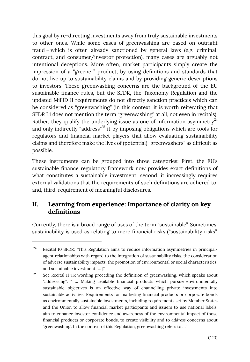this goal by re-directing investments away from truly sustainable investments to other ones. While some cases of greenwashing are based on outright fraud – which is often already sanctioned by general laws (e.g. criminal, contract, and consumer/investor protection), many cases are arguably not intentional deceptions. More often, market participants simply create the impression of a "greener" product, by using definitions and standards that do not live up to sustainability claims and by providing generic descriptions to investors. These greenwashing concerns are the background of the EU sustainable finance rules, but the SFDR, the Taxonomy Regulation and the updated MiFID II requirements do not directly sanction practices which can be considered as "greenwashing" (in this context, it is worth reiterating that SFDR L1 does not mention the term "greenwashing" at all, not even in recitals). Rather, they qualify the underlying issue as one of information asymmetry<sup>24</sup> and only indirectly "address"<sup>25</sup> it by imposing obligations which are tools for regulators and financial market players that allow evaluating sustainability claims and therefore make the lives of (potential) "greenwashers" as difficult as possible.

These instruments can be grouped into three categories: First, the EU's sustainable finance regulatory framework now provides exact definitions of what constitutes a sustainable investment; second, it increasingly requires external validations that the requirements of such definitions are adhered to; and, third, requirement of meaningful disclosures.

# <span id="page-20-0"></span>**II. Learning from experience: Importance of clarity on key definitions**

Currently, there is a broad range of uses of the term "sustainable". Sometimes, sustainability is used as relating to mere financial risks ("sustainability risks",

Recital 10 SFDR: "This Regulation aims to reduce information asymmetries in principalagent relationships with regard to the integration of sustainability risks, the consideration of adverse sustainability impacts, the promotion of environmental or social characteristics, and sustainable investment […]." 24

See Recital 11 TR wording preceding the definition of greenwashing, which speaks about "addressing": " … Making available financial products which pursue environmentally sustainable objectives is an effective way of channelling private investments into sustainable activities. Requirements for marketing financial products or corporate bonds as environmentally sustainable investments, including requirements set by Member States and the Union to allow financial market participants and issuers to use national labels, aim to enhance investor confidence and awareness of the environmental impact of those financial products or corporate bonds, to create visibility and to *address* concerns about 'greenwashing'. In the context of this Regulation, greenwashing refers to …". 25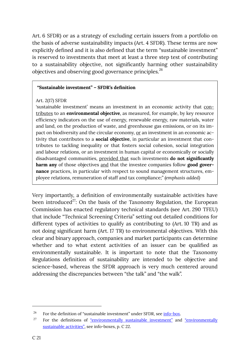Art. 6 SFDR) or as a strategy of excluding certain issuers from a portfolio on the basis of adverse sustainability impacts (Art. 4 SFDR). These terms are now explicitly defined and it is also defined that the term "sustainable investment" is reserved to investments that meet at least a three step test of contributing to a sustainability objective, not significantly harming other sustainability objectives and observing good governance principles.<sup>26</sup>

## <span id="page-21-0"></span>**"Sustainable investment" – SFDR's definition**

### Art. 2(17) SFDR

'sustainable investment' means an investment in an economic activity that contributes to an **environmental objective**, as measured, for example, by key resource efficiency indicators on the use of energy, renewable energy, raw materials, water and land, on the production of waste, and greenhouse gas emissions, or on its impact on biodiversity and the circular economy, or an investment in an economic activity that contributes to a **social objective**, in particular an investment that contributes to tackling inequality or that fosters social cohesion, social integration and labour relations, or an investment in human capital or economically or socially disadvantaged communities, provided that such investments **do not significantly harm any** of those objectives and that the investee companies follow **good governance** practices, in particular with respect to sound management structures, employee relations, remuneration of staff and tax compliance;" *(emphasis added)* 

Very importantly, a definition of environmentally sustainable activities have been introduced<sup>27</sup>: On the basis of the Taxonomy Regulation, the European Commission has enacted regulatory technical standards (see Art. 290 TFEU) that include "Technical Screening Criteria" setting out detailed conditions for different types of activities to qualify as contributing to (Art. 10 TR) and as not doing significant harm (Art. 17 TR) to environmental objectives. With this clear and binary approach, companies and market participants can determine whether and to what extent activities of an issuer can be qualified as environmentally sustainable. It is important to note that the Taxonomy Regulations definition of sustainability are intended to be objective and science-based, whereas the SFDR approach is very much centered around addressing the discrepancies between "the talk" and "the walk".

For the definition of "sustainable investment" under SFDR, see [info-box.](#page-21-0) 26

For the definitions of ["environmentally sustainable investment"](#page-22-0) and "environmentally [sustainable activities",](#page-22-1) see info-boxes, p. C 22. 27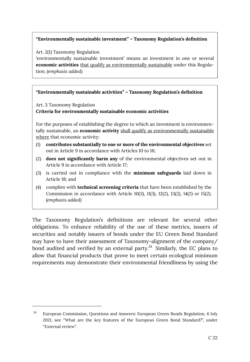### <span id="page-22-0"></span>**"Environmentally sustainable investment" – Taxonomy Regulation's definition**

Art. 2(1) Taxonomy Regulation

'environmentally sustainable investment' means an investment in one or several **economic activities** that qualify as environmentally sustainable under this Regulation; *(emphasis added)* 

### <span id="page-22-1"></span>**"Environmentally sustainable activities" – Taxonomy Regulation's definition**

Art. 3 Taxonomy Regulation

### **Criteria for environmentally sustainable economic activities**

For the purposes of establishing the degree to which an investment is environmentally sustainable, an **economic activity** shall qualify as environmentally sustainable where that economic activity:

- (1) **contributes substantially to one or more of the environmental objectives** set out in Article 9 in accordance with Articles 10 to 16;
- (2) **does not significantly harm any** of the environmental objectives set out in Article 9 in accordance with Article 17;
- (3) is carried out in compliance with the **minimum safeguards** laid down in Article 18; and
- (4) complies with **technical screening criteria** that have been established by the Commission in accordance with Article 10(3), 11(3), 12(2), 13(2), 14(2) or 15(2). *(emphasis added)*

The Taxonomy Regulation's definitions are relevant for several other obligations. To enhance reliability of the use of these metrics, issuers of securities and notably issuers of bonds under the EU Green Bond Standard may have to have their assessment of Taxonomy-alignment of the company/ bond audited and verified by an external party. $^{28}$  Similarly, the EC plans to allow that financial products that prove to meet certain ecological minimum requirements may demonstrate their environmental friendliness by using the

European Commission, Questions and Answers: European Green Bonds Regulation, 6 July 2021, see "What are the key features of the European Green Bond Standard?", under "External review". 28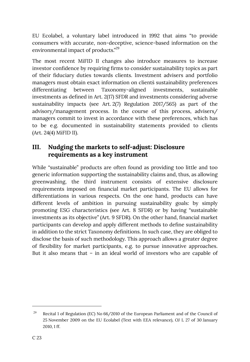EU Ecolabel, a voluntary label introduced in 1992 that aims "to provide consumers with accurate, non-deceptive, science-based information on the environmental impact of products."<sup>29</sup>

The most recent MiFID II changes also introduce measures to increase investor confidence by requiring firms to consider sustainability topics as part of their fiduciary duties towards clients. Investment advisers and portfolio managers must obtain exact information on clients` sustainability preferences differentiating between Taxonomy-aligned investments, sustainable investments as defined in Art. 2(17) SFDR and investments considering adverse sustainability impacts (see Art. 2(7) Regulation 2017/565) as part of the advisory/management process. In the course of this process, advisers/ managers commit to invest in accordance with these preferences, which has to be e.g. documented in sustainability statements provided to clients (Art. 24(4) MiFID II).

## <span id="page-23-0"></span>**III. Nudging the markets to self-adjust: Disclosure requirements as a key instrument**

While "sustainable" products are often found as providing too little and too generic information supporting the sustainability claims and, thus, as allowing greenwashing, the third instrument consists of extensive disclosure requirements imposed on financial market participants. The EU allows for differentiations in various respects. On the one hand, products can have different levels of ambition in pursuing sustainability goals: by simply promoting ESG characteristics (see Art. 8 SFDR) or by having "sustainable investments as its objective" (Art. 9 SFDR). On the other hand, financial market participants can develop and apply different methods to define sustainability in addition to the strict Taxonomy definitions. In such case, they are obliged to disclose the basis of such methodology. This approach allows a greater degree of flexibility for market participants, e.g. to pursue innovative approaches. But it also means that – in an ideal world of investors who are capable of

Recital 1 of Regulation (EC) No 66/2010 of the European Parliament and of the Council of 25 November 2009 on the EU Ecolabel (Text with EEA relevance), OJ L 27 of 30 January 2010, 1 ff. 29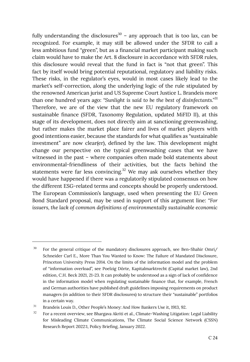fully understanding the disclosures<sup>30</sup> – any approach that is too lax, can be recognized. For example, it may still be allowed under the SFDR to call a less ambitious fund "green", but as a financial market participant making such claim would have to make the Art. 8 disclosure in accordance with SFDR rules, this disclosure would reveal that the fund in fact is "not that green". This fact by itself would bring potential reputational, regulatory and liability risks. These risks, in the regulator's eyes, would in most cases likely lead to the market's self-correction, along the underlying logic of the rule stipulated by the renowned American jurist and US Supreme Court Justice L. Brandeis more than one hundred years ago: *"Sunlight is said to be the best of disinfectants."* 31 Therefore, we are of the view that the new EU regulatory framework on sustainable finance (SFDR, Taxonomy Regulation, updated MiFID II), at this stage of its development, does not directly aim at sanctioning greenwashing, but rather makes the market place fairer and lives of market players with good intentions easier, because the standards for what qualifies as "sustainable investment" are now clear(er), defined by the law. This development might change our perspective on the typical greenwashing cases that we have witnessed in the past – where companies often made bold statements about environmental-friendliness of their activities, but the facts behind the statements were far less convincing.<sup>32</sup> We may ask ourselves whether they would have happened if there was a regulatorily stipulated consensus on how the different ESG-related terms and concepts should be properly understood. The European Commission's language, used when presenting the EU Green Bond Standard proposal, may be used in support of this argument line: *"For issuers, the lack of common definitions of environmentally sustainable economic* 

For the general critique of the mandatory disclosures approach, see Ben-Shahir Omri/ Schneider Carl E., More Than You Wanted to Know: The Failure of Mandated Disclosure, Princeton University Press 2014. On the limits of the information model and the problem of "information overload", see Poelzig Dörte, Kapitalmarktrecht (Capital market law), 2nd edition, C.H. Beck 2021, 21-23. It can probably be understood as a sign of lack of confidence in the information model when regulating sustainable finance that, for example, French and German authorities have published draft guidelines imposing requirements on product managers (in addition to their SFDR disclosures) to structure their "sustainable" portfolios in a certain way. 30

Brandeis Louis D., Other People's Money: And How Bankers Use it, 1913, 92. 31

For a recent overview, see Bhargava Akriti et al., Climate-Washing Litigation: Legal Liability for Misleading Climate Communications, The Climate Social Science Network (CSSN) Research Report 2022:1, Policy Briefing, January 2022. 32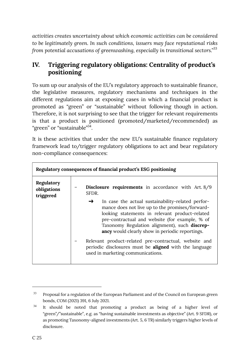*activities creates uncertainty about which economic activities can be considered to be legitimately green. In such conditions, issuers may face reputational risks from potential accusations of greenwashing, especially in transitional sectors."* 33

# <span id="page-25-0"></span>**IV. Triggering regulatory obligations: Centrality of product's positioning**

To sum up our analysis of the EU's regulatory approach to sustainable finance, the legislative measures, regulatory mechanisms and techniques in the different regulations aim at exposing cases in which a financial product is promoted as "green" or "sustainable" without following though in action. Therefore, it is not surprising to see that the trigger for relevant requirements is that a product is positioned (promoted/marketed/recommended) as "green" or "sustainable"<sup>34</sup>.

It is these activities that under the new EU's sustainable finance regulatory framework lead to/trigger regulatory obligations to act and bear regulatory non-compliance consequences:

| Regulatory consequences of financial product's ESG positioning |                                                                                                                                                                                                                                                                                                                                                                                                                                                                                                |  |
|----------------------------------------------------------------|------------------------------------------------------------------------------------------------------------------------------------------------------------------------------------------------------------------------------------------------------------------------------------------------------------------------------------------------------------------------------------------------------------------------------------------------------------------------------------------------|--|
| Regulatory<br>obligations<br>triggered                         | <b>Disclosure requirements</b> in accordance with Art. 8/9<br>SFDR.                                                                                                                                                                                                                                                                                                                                                                                                                            |  |
|                                                                | In case the actual sustainability-related perfor-<br>→<br>mance does not live up to the promises/forward-<br>looking statements in relevant product-related<br>pre-contractual and website (for example, % of<br>Taxonomy Regulation alignment), such <b>discrep-</b><br><b>ancy</b> would clearly show in periodic reportings.<br>Relevant product-related pre-contractual, website and<br>periodic disclosures must be <b>aligned</b> with the language<br>used in marketing communications. |  |

Proposal for a regulation of the European Parliament and of the Council on European green bonds, COM (2021) 391, 6 July 2021. 33

It should be noted that promoting a product as being of a higher level of "green"/"sustainable", e.g. as "having sustainable investments as objective" (Art. 9 SFDR), or as promoting Taxonomy-aligned investments (Art. 5, 6 TR) similarly triggers higher levels of disclosure. 34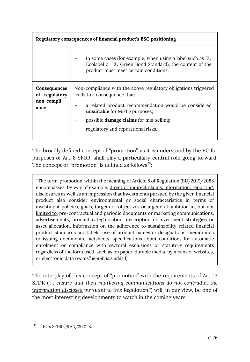| Regulatory consequences of financial product's ESG positioning |                                                                                                                                                                                                                                                                                  |  |
|----------------------------------------------------------------|----------------------------------------------------------------------------------------------------------------------------------------------------------------------------------------------------------------------------------------------------------------------------------|--|
|                                                                | In some cases (for example, when using a label such as EU<br>Ecolabel or EU Green Bond Standard), the content of the<br>product must meet certain conditions.                                                                                                                    |  |
| Consequences<br>of regulatory<br>non-compli-<br>ance           | Non-compliance with the above regulatory obligations triggered<br>leads to a consequence that:<br>a related product recommendation would be considered<br>unsuitable for MiFID purposes;<br>possible <b>damage claims</b> for mis-selling;<br>regulatory and reputational risks. |  |

The broadly defined concept of "promotion", as it is understood by the EC for purposes of Art. 8 SFDR, shall play a particularly central role going forward. The concept of "promotion" is defined as follows $35$ :

"The term 'promotion' within the meaning of Article 8 of Regulation (EU) 2019/2088 encompasses, by way of example, direct or indirect claims, information, reporting, disclosures as well as an impression that investments pursued by the given financial product also consider environmental or social characteristics in terms of investment policies, goals, targets or objectives or a general ambition in, but not limited to, pre-contractual and periodic documents or marketing communications, advertisements, product categorisation, description of investment strategies or asset allocation, information on the adherence to sustainability-related financial product standards and labels, use of product names or designations, memoranda or issuing documents, factsheets, specifications about conditions for automatic enrolment or compliance with sectoral exclusions or statutory requirements regardless of the form used, such as on paper, durable media, by means of websites, or electronic data rooms." *(emphasis added)* 

The interplay of this concept of "promotion" with the requirements of Art. 13 SFDR ("… *ensure that their marketing communications do not contradict the information disclosed pursuant to this Regulation*.") will, in our view, be one of the most interesting developments to watch in the coming years.

<sup>&</sup>lt;sup>35</sup> EC's SFDR Q&A 7/2021, 8.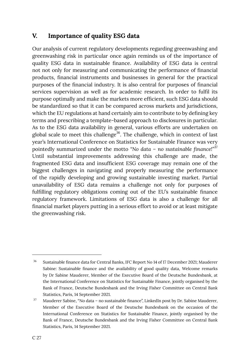# <span id="page-27-0"></span>**V. Importance of quality ESG data**

Our analysis of current regulatory developments regarding greenwashing and greenwashing risk in particular once again reminds us of the importance of quality ESG data in sustainable finance. Availability of ESG data is central not not only for measuring and communicating the performance of financial products, financial instruments and businesses in general for the practical purposes of the financial industry. It is also central for purposes of financial services supervision as well as for academic research. In order to fulfil its purpose optimally and make the markets more efficient, such ESG data should be standardized so that it can be compared across markets and jurisdictions, which the EU regulations at hand certainly aim to contribute to by defining key terms and prescribing a template-based approach to disclosures in particular. As to the ESG data availability in general, various efforts are undertaken on global scale to meet this challenge<sup>36</sup>. The challenge, which in context of last year's International Conference on Statistics for Sustainable Finance was very pointedly summarized under the motto *"No data – no sustainable finance!"*<sup>37</sup> Until substantial improvements addressing this challenge are made, the fragmented ESG data and insufficient ESG coverage may remain one of the biggest challenges in navigating and properly measuring the performance of the rapidly developing and growing sustainable investing market. Partial unavailability of ESG data remains a challenge not only for purposes of fulfilling regulatory obligations coming out of the EU's sustainable finance regulatory framework. Limitations of ESG data is also a challenge for all financial market players putting in a serious effort to avoid or at least mitigate the greenwashing risk.

Sustainable finance data for Central Banks, IFC Report No 14 of 17 December 2021; Mauderer Sabine: Sustainable finance and the availability of good quality data, Welcome remarks by Dr Sabine Mauderer, Member of the Executive Board of the Deutsche Bundesbank, at the International Conference on Statistics for Sustainable Finance, jointly organised by the Bank of France, Deutsche Bundesbank and the Irving Fisher Committee on Central Bank Statistics, Paris, 14 September 2021. 36

Mauderer Sabine, "No data – no sustainable finance", LinkedIn post by Dr. Sabine Mauderer, Member of the Executive Board of the Deutsche Bundesbank on the occasion of the International Conference on Statistics for Sustainable Finance, jointly organised by the Bank of France, Deutsche Bundesbank and the Irving Fisher Committee on Central Bank Statistics, Paris, 14 September 2021. 37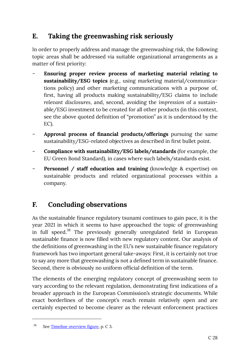# <span id="page-28-0"></span>**E. Taking the greenwashing risk seriously**

In order to properly address and manage the greenwashing risk, the following topic areas shall be addressed via suitable organizational arrangements as a matter of first priority:

- **Ensuring proper review process of marketing material relating to sustainability/ESG topics** (e.g., using marketing material/communications policy) and other marketing communications with a purpose of, first, having all products making sustainability/ESG claims to include *relevant disclosures*, and, second, avoiding the *impression* of a sustainable/ESG investment to be created for all other products (in this context, see the above quoted definition of "promotion" as it is understood by the EC).
- **Approval process of financial products/offerings** pursuing the same sustainability/ESG-related objectives as described in first bullet point.
- **Compliance with sustainability/ESG labels/standards** (for example, the EU Green Bond Standard), in cases where such labels/standards exist.
- **Personnel / staff education and training** (knowledge & expertise) on sustainable products and related organizational processes within a company.

# <span id="page-28-1"></span>**F. Concluding observations**

As the sustainable finance regulatory tsunami continues to gain pace, it is the year 2021 in which it seems to have approached the topic of greenwashing in full speed.<sup>38</sup> The previously generally unregulated field in European sustainable finance is now filled with new regulatory content. Our analysis of the definitions of greenwashing in the EU's new sustainable finance regulatory framework has two important general take-aways: First, it is certainly not true to say any more that greenwashing is not a defined term in sustainable finance. Second, there is obviously no uniform official definition of the term.

The elements of the emerging regulatory concept of greenwashing seem to vary according to the relevant regulation, demonstrating first indications of a broader approach in the European Commission's strategic documents. While exact borderlines of the concept's reach remain relatively open and are certainly expected to become clearer as the relevant enforcement practices

 $38$  See [Timeline overview figure](#page-3-0), p. C 3.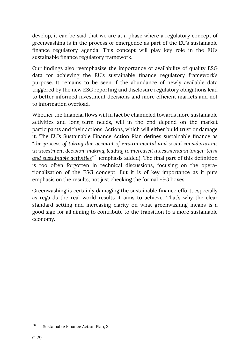develop, it can be said that we are at a phase where a regulatory concept of greenwashing is in the process of emergence as part of the EU's sustainable finance regulatory agenda. This concept will play key role in the EU's sustainable finance regulatory framework.

Our findings also reemphasize the importance of availability of quality ESG data for achieving the EU's sustainable finance regulatory framework's purpose. It remains to be seen if the abundance of newly available data triggered by the new ESG reporting and disclosure regulatory obligations lead to better informed investment decisions and more efficient markets and not to information overload.

Whether the financial flows will in fact be channeled towards more sustainable activities and long-term needs, will in the end depend on the market participants and their actions. Actions, which will either build trust or damage it. The EU's Sustainable Finance Action Plan defines sustainable finance as "*the process of taking due account of environmental and social considerations in investment decision-making, leading to increased investments in longer-term and sustainable activities*" <sup>39</sup> (emphasis added). The final part of this definition is too often forgotten in technical discussions, focusing on the operationalization of the ESG concept. But it is of key importance as it puts emphasis on the results, not just checking the formal ESG boxes.

Greenwashing is certainly damaging the sustainable finance effort, especially as regards the real world results it aims to achieve. That's why the clear standard-setting and increasing clarity on what greenwashing means is a good sign for all aiming to contribute to the transition to a more sustainable economy.

<sup>&</sup>lt;sup>39</sup> Sustainable Finance Action Plan, 2.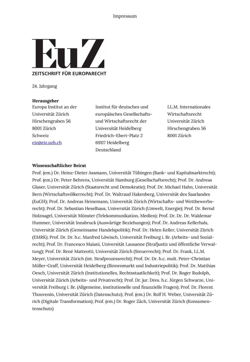

24. Jahrgang

#### **Herausgeber**

Europa Institut an der Universität Zürich Hirschengraben 56 8001 Zürich Schweiz [eiz@eiz.uzh.ch](mailto:eiz@eiz.uzh.ch) 

Institut für deutsches und europäisches Gesellschaftsund Wirtschaftsrecht der Universität Heidelberg Friedrich-Ebert-Platz 2 69117 Heidelberg Deutschland

LL.M. Internationales Wirtschaftsrecht Universität Zürich Hirschengraben 56 8001 Zürich

#### **Wissenschaftlicher Beirat**

Prof. (em.) Dr. Heinz-Dieter Assmann, Universität Tübingen (Bank- und Kapitalmarktrecht); Prof. (em.) Dr. Peter Behrens, Universität Hamburg (Gesellschaftsrecht); Prof. Dr. Andreas Glaser, Universität Zürich (Staatsrecht und Demokratie); Prof. Dr. Michael Hahn, Universität Bern (Wirtschaftsvölkerrecht); Prof. Dr. Waltraud Hakenberg, Universität des Saarlandes (EuGH); Prof. Dr. Andreas Heinemann, Universität Zürich (Wirtschafts- und Wettbewerbsrecht); Prof. Dr. Sebastian Heselhaus, Universität Zürich (Umwelt, Energie); Prof. Dr. Bernd Holznagel, Universität Münster (Telekommunikation, Medien); Prof. Dr. Dr. Dr. Waldemar Hummer, Universität Innsbruck (Auswärtige Beziehungen); Prof. Dr. Andreas Kellerhals, Universität Zürich (Gemeinsame Handelspolitik); Prof. Dr. Helen Keller, Universität Zürich (EMRK); Prof. Dr. Dr. h.c. Manfred Löwisch, Universität Freiburg i. Br. (Arbeits- und Sozialrecht); Prof. Dr. Francesco Maiani, Universität Lausanne (Strafjustiz und öffentliche Verwaltung); Prof. Dr. René Matteotti, Universität Zürich (Steuerrecht); Prof. Dr. Frank, LL.M. Meyer, Universität Zürich (int. Strafprozessrecht); Prof. Dr. Dr. h.c. mult. Peter-Christian Müller-Graff, Universität Heidelberg (Binnenmarkt und Industriepolitik); Prof. Dr. Matthias Oesch, Universität Zürich (Institutionelles, Rechtsstaatlichkeit); Prof. Dr. Roger Rudolph, Universität Zürich (Arbeits- und Privatrecht); Prof. Dr. jur. Dres. h.c. Jürgen Schwarze, Universität Freiburg i. Br. (Allgemeine, institutionelle und finanzielle Fragen); Prof. Dr. Florent Thouvenin, Universität Zürich (Datenschutz); Prof. (em.) Dr. Rolf H. Weber, Universität Zürich (Digitale Transformation); Prof. (em.) Dr. Roger Zäch, Universität Zürich (Konsumentenschutz)